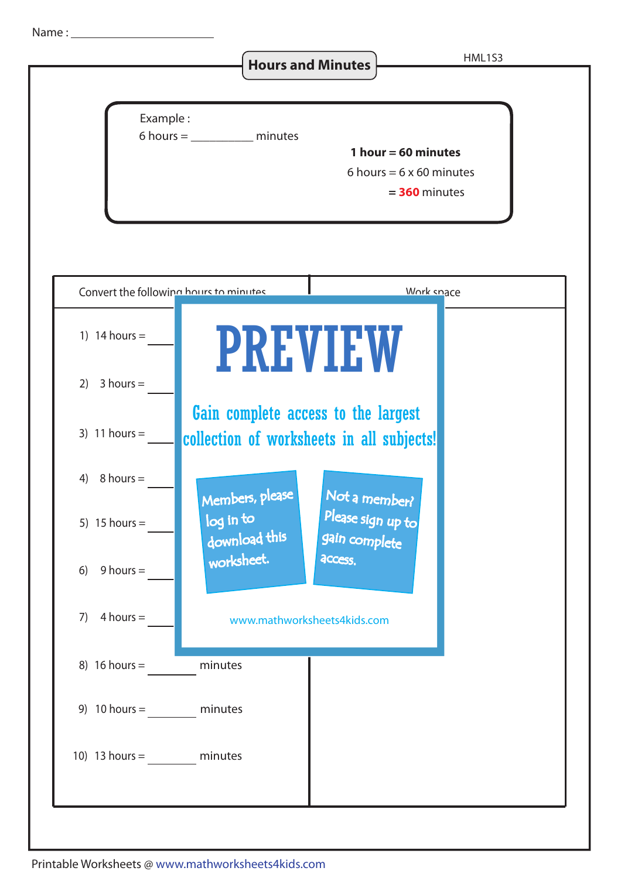Name :